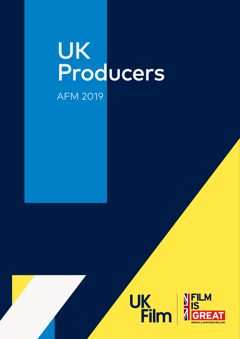## UK<br>Producers **AFM 2019**



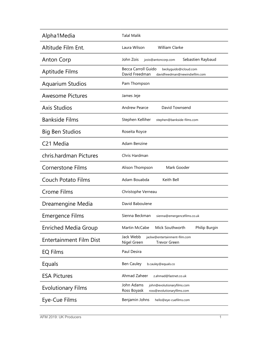| Alpha1Media                    | <b>Talal Malik</b>                                                                               |
|--------------------------------|--------------------------------------------------------------------------------------------------|
| Altitude Film Ent.             | William Clarke<br>Laura Wilson                                                                   |
| <b>Anton Corp</b>              | John Zois<br>Sebastien Raybaud<br>jzois@antoncorp.com                                            |
| Aptitude Films                 | Becca Carroll Guido<br>beckyguido@icloud.com<br>David Freedman<br>davidfreedman@newindiefilm.com |
| <b>Aquarium Studios</b>        | Pam Thompson                                                                                     |
| <b>Awesome Pictures</b>        | James Jeje                                                                                       |
| <b>Axis Studios</b>            | David Townsend<br><b>Andrew Pearce</b>                                                           |
| <b>Bankside Films</b>          | Stephen Kelliher<br>stephen@bankside-films.com                                                   |
| <b>Big Ben Studios</b>         | Roseita Royce                                                                                    |
| C <sub>21</sub> Media          | Adam Benzine                                                                                     |
| chris.hardman Pictures         | Chris Hardman                                                                                    |
| <b>Cornerstone Films</b>       | Mark Gooder<br>Alison Thompson                                                                   |
| <b>Couch Potato Films</b>      | Adam Bouabda<br>Keith Bell                                                                       |
| <b>Crome Films</b>             | Christophe Verneau                                                                               |
| Dreamengine Media              | David Baboulene                                                                                  |
| Emergence Films                | Sienna Beckman<br>sienna@emergencefilms.co.uk                                                    |
| <b>Enriched Media Group</b>    | Martin McCabe<br>Mick Southworth<br>Philip Burgin                                                |
| <b>Entertainment Film Dist</b> | Jack Webb<br>jackw@entertainment-film.com<br>Nigel Green<br><b>Trevor Green</b>                  |
| <b>EQ Films</b>                | Paul Desira                                                                                      |
| Equals                         | <b>Ben Cauley</b><br>b.cauley@equals.co                                                          |
| <b>ESA Pictures</b>            | Ahmad Zaheer<br>z.ahmad@fastnet.co.uk                                                            |
| <b>Evolutionary Films</b>      | John Adams<br>john@evolutionaryfilms.com<br>Ross Boyask<br>ross@evolutionaryfilms.com            |
| Eye-Cue Films                  | Benjamin Johns<br>hello@eye-cuefilms.com                                                         |
|                                |                                                                                                  |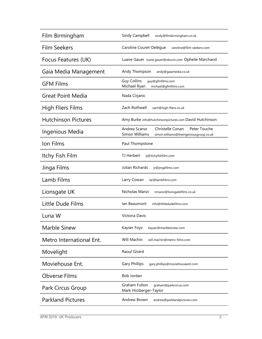| Film Birmingham            | Sindy Campbell<br>sindy@filmbirmingham.co.uk                                                                  |
|----------------------------|---------------------------------------------------------------------------------------------------------------|
| <b>Film Seekers</b>        | Caroline Couret-Delègue<br>caroline@film-seekers.com                                                          |
| Focus Features (UK)        | Luane Gauer Iuane.gauer@nbcuni.com Ophelie Marchand                                                           |
| Gaia Media Management      | Andy Thompson<br>andy@gaiamedia.co.uk                                                                         |
| <b>GFM Films</b>           | <b>Guy Collins</b><br>quy@qfmfilms.com<br>Michael Ryan<br>michael@gfmfilms.com                                |
| <b>Great Point Media</b>   | Nada Cirjanic                                                                                                 |
| <b>High Fliers Films</b>   | Zach Rothwell<br>zach@high-fliers.co.uk                                                                       |
| <b>Hutchinson Pictures</b> | Amy Burke info@hutchinsonpictures.com David Hutchinson                                                        |
| Ingenious Media            | Andrea Scarso<br>Christelle Conan<br>Peter Touche<br>Simon Williams<br>simon.williams@theingeniousgroup.co.uk |
| Ion Films                  | Paul Thompstone                                                                                               |
| Itchy Fish Film            | TJ Herbert<br>tj@itchyfishfilm.com                                                                            |
| Jinga Films                | Julian Richards<br>jr@jingafilms.com                                                                          |
| Lamb Films                 | Larry Cowan<br>lar@lambfilms.com                                                                              |
| Lionsgate UK               | Nicholas Manzi<br>nmanzi@lionsgatefilms.co.uk                                                                 |
| Little Dude Films          | lan Beaumont<br>info@littledudefilms.com                                                                      |
| Luna W                     | Victoria Davis                                                                                                |
| Marble Sinew               | Kayser Foyz<br>kayser@marblesinew.com                                                                         |
| Metro International Ent.   | Will Machin<br>will.machin@metro-films.com                                                                    |
| Movelight                  | Raoul Girard                                                                                                  |
| Moviehouse Ent.            | <b>Gary Phillips</b><br>gary.phillips@moviehouseent.com                                                       |
| <b>Obverse Films</b>       | Bob Jordan                                                                                                    |
| Park Circus Group          | Graham Fulton<br>graham@parkcircus.com<br>Mark Hirzberger-Taylor                                              |
| <b>Parkland Pictures</b>   | Andrew Brown<br>andrew@parklandpictures.com                                                                   |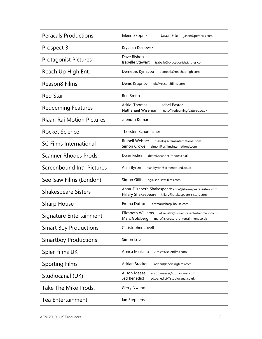| <b>Peracals Productions</b>      | Eileen Skopnik<br>Jason Fite<br>jason@peracals.com                                                                   |
|----------------------------------|----------------------------------------------------------------------------------------------------------------------|
| Prospect 3                       | Krystian Kozlowski                                                                                                   |
| <b>Protagonist Pictures</b>      | Dave Bishop<br>Isabelle Stewart<br>isabelle@protagonistpictures.com                                                  |
| Reach Up High Ent.               | Demetris Kyriacou<br>demetris@reachuphigh.com                                                                        |
| Reason <sub>8</sub> Films        | Denis Krupnov<br>dk@reason8films.com                                                                                 |
| <b>Red Star</b>                  | <b>Ben Smith</b>                                                                                                     |
| <b>Redeeming Features</b>        | <b>Adriel Thomas</b><br><b>Isabel Pastor</b><br>Nathanael Wiseman<br>nate@redeemingfeatures.co.uk                    |
| <b>Riaan Rai Motion Pictures</b> | Jitendra Kumar                                                                                                       |
| Rocket Science                   | <b>Thorsten Schumacher</b>                                                                                           |
| <b>SC Films International</b>    | <b>Russell Webber</b><br>russell@scfilmsinternational.com<br>Simon Crowe<br>simon@scfilmsinternational.com           |
| <b>Scanner Rhodes Prods.</b>     | Dean Fisher<br>dean@scanner-rhodes.co.uk                                                                             |
| Screenbound Int'l Pictures       | Alan Byron<br>alan.byron@screenbound.co.uk                                                                           |
| See-Saw Films (London)           | Simon Gillis<br>sq@see-saw-films.com                                                                                 |
| <b>Shakespeare Sisters</b>       | Anna-Elizabeth Shakespeare anna@shakespeare-sisters.com<br>Hillary Shakespeare<br>hillary@shakespeare-sisters.com    |
| Sharp House                      | Emma Dutton<br>emma@sharp-house.com                                                                                  |
| Signature Entertainment          | Elizabeth Williams<br>elizabeth@signature-entertainment.co.uk<br>Marc Goldberg<br>marc@signature-entertainment.co.uk |
| <b>Smart Boy Productions</b>     | Christopher Lovell                                                                                                   |
| <b>Smartboy Productions</b>      | Simon Lovell                                                                                                         |
| Spier Films UK                   | Arnica Miakista<br>Arnica@spierfilms.com                                                                             |
| <b>Sporting Films</b>            | Adrian Bracken<br>adrian@sportingfilms.com                                                                           |
| Studiocanal (UK)                 | <b>Alison Meese</b><br>alison.meese@studiocanal.com<br>Jed Benedict<br>jed.benedict@studiocanal.co.uk                |
| Take The Mike Prods.             | Gerry Nwimo                                                                                                          |
| <b>Tea Entertainment</b>         | lan Stephens                                                                                                         |